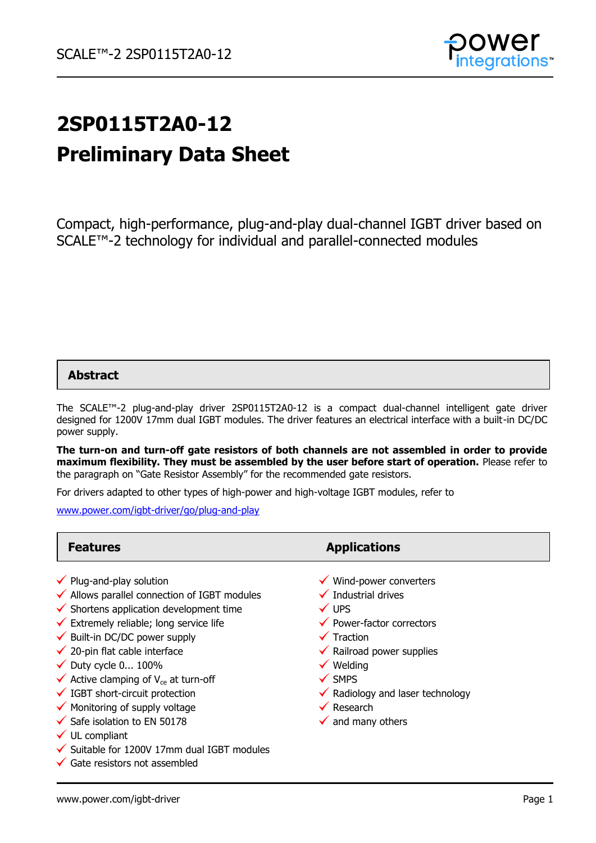

# **2SP0115T2A0-12 Preliminary Data Sheet**

Compact, high-performance, plug-and-play dual-channel IGBT driver based on SCALE™-2 technology for individual and parallel-connected modules

## **Abstract**

The SCALE™-2 plug-and-play driver 2SP0115T2A0-12 is a compact dual-channel intelligent gate driver designed for 1200V 17mm dual IGBT modules. The driver features an electrical interface with a built-in DC/DC power supply.

**The turn-on and turn-off gate resistors of both channels are not assembled in order to provide maximum flexibility. They must be assembled by the user before start of operation.** Please refer to the paragraph on "Gate Resistor Assembly" for the recommended gate resistors.

For drivers adapted to other types of high-power and high-voltage IGBT modules, refer to

[www.power.com/igbt-driver/go/plug-and-play](http://www.power.com/igbt-driver/go/plug-and-play)

 $\checkmark$  Suitable for 1200V 17mm dual IGBT modules

| <b>Features</b>                                             | <b>Applications</b>                         |
|-------------------------------------------------------------|---------------------------------------------|
| $\checkmark$ Plug-and-play solution                         | $\checkmark$ Wind-power converters          |
| $\checkmark$ Allows parallel connection of IGBT modules     | $\checkmark$ Industrial drives              |
| $\checkmark$ Shortens application development time          | $\checkmark$ UPS                            |
| $\checkmark$ Extremely reliable; long service life          | $\checkmark$ Power-factor correctors        |
| $\checkmark$ Built-in DC/DC power supply                    | $\checkmark$ Traction                       |
| $\checkmark$ 20-pin flat cable interface                    | $\checkmark$ Railroad power supplies        |
| $\checkmark$ Duty cycle 0 100%                              | $\checkmark$ Welding                        |
| $\checkmark$ Active clamping of V <sub>ce</sub> at turn-off | $\checkmark$ SMPS                           |
| $\checkmark$ IGBT short-circuit protection                  | $\checkmark$ Radiology and laser technology |
| $\checkmark$ Monitoring of supply voltage                   | $\checkmark$ Research                       |
| $\checkmark$ Safe isolation to EN 50178                     | $\checkmark$ and many others                |
| $\checkmark$ UL compliant                                   |                                             |

www.power.com/igbt-driver extension of the control of the control of the control of the control of the control of the control of the control of the control of the control of the control of the control of the control of the

 $\checkmark$  Gate resistors not assembled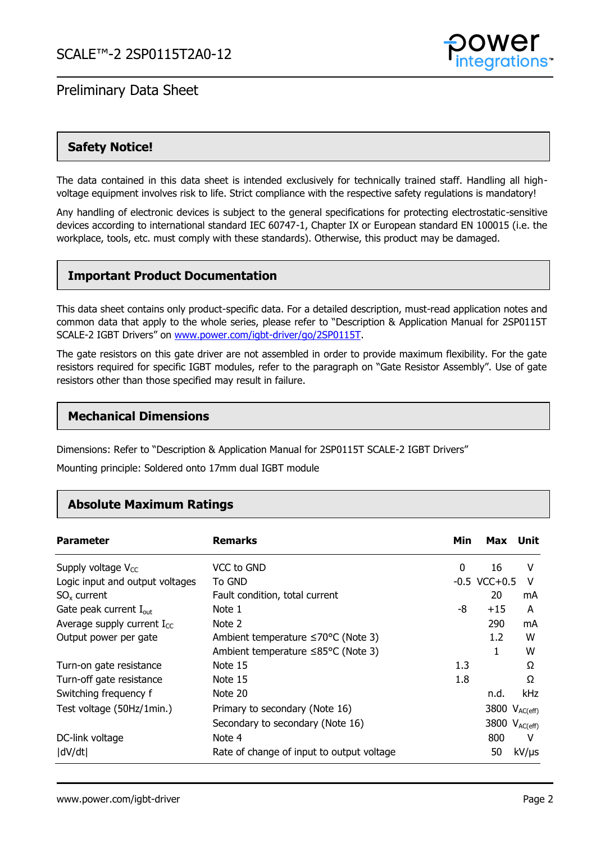

## **Safety Notice!**

The data contained in this data sheet is intended exclusively for technically trained staff. Handling all highvoltage equipment involves risk to life. Strict compliance with the respective safety regulations is mandatory!

Any handling of electronic devices is subject to the general specifications for protecting electrostatic-sensitive devices according to international standard IEC 60747-1, Chapter IX or European standard EN 100015 (i.e. the workplace, tools, etc. must comply with these standards). Otherwise, this product may be damaged.

## **Important Product Documentation**

This data sheet contains only product-specific data. For a detailed description, must-read application notes and common data that apply to the whole series, please refer to "Description & Application Manual for 2SP0115T SCALE-2 IGBT Drivers" on [www.power.com/igbt-driver/go/2SP0115T.](http://www.power.com/igbt-driver/go/2SP0115T)

The gate resistors on this gate driver are not assembled in order to provide maximum flexibility. For the gate resistors required for specific IGBT modules, refer to the paragraph on "Gate Resistor Assembly". Use of gate resistors other than those specified may result in failure.

## **Mechanical Dimensions**

Dimensions: Refer to "Description & Application Manual for 2SP0115T SCALE-2 IGBT Drivers"

Mounting principle: Soldered onto 17mm dual IGBT module

## **Absolute Maximum Ratings**

| <b>Parameter</b>                   | <b>Remarks</b>                            | Min      | Max Unit          |               |
|------------------------------------|-------------------------------------------|----------|-------------------|---------------|
| Supply voltage $V_{CC}$            | VCC to GND                                | $\Omega$ | 16                | v             |
| Logic input and output voltages    | To GND                                    |          | $-0.5$ VCC $+0.5$ | v             |
| $SO_{x}$ current                   | Fault condition, total current            |          | 20                | mA            |
| Gate peak current $I_{\text{out}}$ | Note 1                                    | -8       | $+15$             | A             |
| Average supply current $I_{cc}$    | Note 2                                    |          | 290               | mA            |
| Output power per gate              | Ambient temperature ≤70°C (Note 3)        |          | 1.2               | w             |
|                                    | Ambient temperature ≤85°C (Note 3)        |          | 1                 | w             |
| Turn-on gate resistance            | Note 15                                   | 1.3      |                   | Ω             |
| Turn-off gate resistance           | Note 15                                   | 1.8      |                   | Ω             |
| Switching frequency f              | Note 20                                   |          | n.d.              | kHz           |
| Test voltage (50Hz/1min.)          | Primary to secondary (Note 16)            |          | 3800              | $V_{AC(eff)}$ |
|                                    | Secondary to secondary (Note 16)          |          | 3800              | $V_{AC(eff)}$ |
| DC-link voltage                    | Note 4                                    |          | 800               | v             |
| dV/dt                              | Rate of change of input to output voltage |          | 50                | $kV/\mu s$    |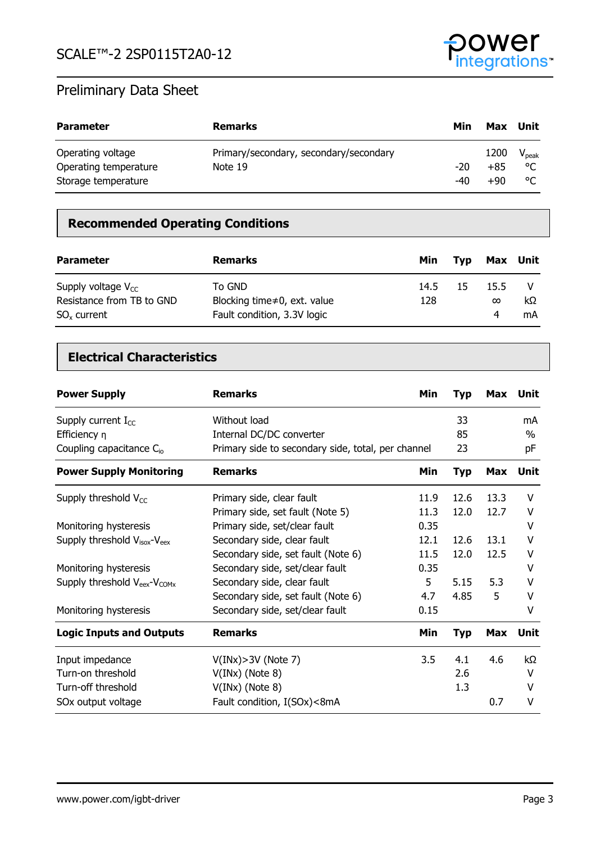

| <b>Parameter</b>      | <b>Remarks</b>                         | Min   | Max Unit |                |
|-----------------------|----------------------------------------|-------|----------|----------------|
| Operating voltage     | Primary/secondary, secondary/secondary |       | 1200     | $V_{\rm peak}$ |
| Operating temperature | Note 19                                | $-20$ | $+85$    | ۰η             |
| Storage temperature   |                                        | -40   | $+90$    | ۰η             |

## **Recommended Operating Conditions**

| <b>Parameter</b>                                                      | <b>Remarks</b>                                                               | Min         | Tvp | Max Unit              |          |
|-----------------------------------------------------------------------|------------------------------------------------------------------------------|-------------|-----|-----------------------|----------|
| Supply voltage $V_{cc}$<br>Resistance from TB to GND<br>$SOx$ current | To GND<br>Blocking time $\neq 0$ , ext. value<br>Fault condition, 3.3V logic | 14.5<br>128 | 15  | 15.5<br>$\infty$<br>4 | kΩ<br>mA |

## **Electrical Characteristics**

| <b>Power Supply</b>                               | <b>Remarks</b>                                     | Min  | <b>Typ</b> | Max        | Unit        |
|---------------------------------------------------|----------------------------------------------------|------|------------|------------|-------------|
| Supply current $I_{CC}$                           | Without load                                       |      | 33         |            | mA          |
| Efficiency $\eta$                                 | Internal DC/DC converter                           |      | 85         |            | $\%$        |
| Coupling capacitance C <sub>io</sub>              | Primary side to secondary side, total, per channel |      | 23         |            | рF          |
| <b>Power Supply Monitoring</b>                    | <b>Remarks</b>                                     | Min  | <b>Typ</b> | <b>Max</b> | <b>Unit</b> |
| Supply threshold $V_{CC}$                         | Primary side, clear fault                          | 11.9 | 12.6       | 13.3       | v           |
|                                                   | Primary side, set fault (Note 5)                   | 11.3 | 12.0       | 12.7       | v           |
| Monitoring hysteresis                             | Primary side, set/clear fault                      | 0.35 |            |            | v           |
| Supply threshold $V_{\text{isox}}-V_{\text{eex}}$ | Secondary side, clear fault                        | 12.1 | 12.6       | 13.1       | v           |
|                                                   | Secondary side, set fault (Note 6)                 | 11.5 | 12.0       | 12.5       | v           |
| Monitoring hysteresis                             | Secondary side, set/clear fault                    | 0.35 |            |            | v           |
| Supply threshold $V_{\text{eex}}-V_{\text{COMx}}$ | Secondary side, clear fault                        | 5    | 5.15       | 5.3        | v           |
|                                                   | Secondary side, set fault (Note 6)                 | 4.7  | 4.85       | 5          | v           |
| Monitoring hysteresis                             | Secondary side, set/clear fault                    | 0.15 |            |            | ٧           |
| <b>Logic Inputs and Outputs</b>                   | <b>Remarks</b>                                     | Min  | <b>Typ</b> | <b>Max</b> | <b>Unit</b> |
| Input impedance                                   | $V(INx) > 3V$ (Note 7)                             | 3.5  | 4.1        | 4.6        | kΩ          |
| Turn-on threshold                                 | $V(INx)$ (Note 8)                                  |      | 2.6        |            | v           |
| Turn-off threshold                                | $V(INx)$ (Note 8)                                  |      | 1.3        |            | v           |
| SOx output voltage                                | Fault condition, I(SOx)<8mA                        |      |            | 0.7        | V           |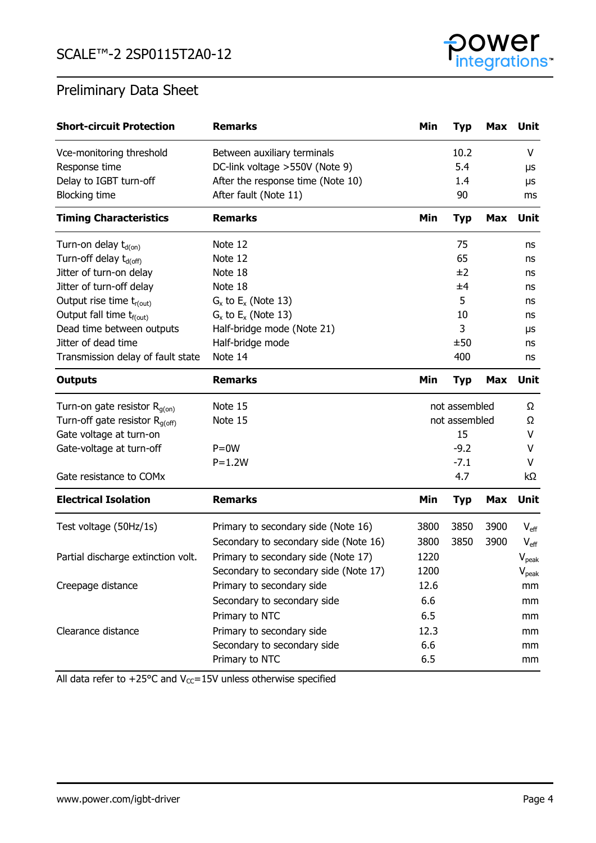

| <b>Short-circuit Protection</b>      | <b>Remarks</b>                        | Min           | <b>Typ</b>    | Max        | Unit             |
|--------------------------------------|---------------------------------------|---------------|---------------|------------|------------------|
| Vce-monitoring threshold             | Between auxiliary terminals           |               | 10.2          |            | V                |
| Response time                        | DC-link voltage > 550V (Note 9)       |               | 5.4           |            | μs               |
| Delay to IGBT turn-off               | After the response time (Note 10)     |               | 1.4           |            | μs               |
| <b>Blocking time</b>                 | After fault (Note 11)                 |               | 90            |            | ms               |
| <b>Timing Characteristics</b>        | <b>Remarks</b>                        | Min           | <b>Typ</b>    | <b>Max</b> | Unit             |
| Turn-on delay $t_{d(0n)}$            | Note 12                               |               | 75            |            | ns               |
| Turn-off delay t <sub>d(off)</sub>   | Note 12                               |               | 65            |            | ns               |
| Jitter of turn-on delay              | Note 18                               |               | ±2            |            | ns               |
| Jitter of turn-off delay             | Note 18                               |               | ±4            |            | ns               |
| Output rise time $t_{r(out)}$        | $G_x$ to $E_x$ (Note 13)              |               | 5             |            | ns               |
| Output fall time t <sub>f(out)</sub> | $G_x$ to $E_x$ (Note 13)              |               | 10            |            | ns               |
| Dead time between outputs            | Half-bridge mode (Note 21)            |               | 3             |            | μs               |
| Jitter of dead time                  | Half-bridge mode                      |               | ±50           |            | ns               |
| Transmission delay of fault state    | Note 14                               |               | 400           |            | ns               |
| <b>Outputs</b>                       | <b>Remarks</b>                        | Min           | <b>Typ</b>    | <b>Max</b> | <b>Unit</b>      |
| Turn-on gate resistor $R_{g(on)}$    | Note 15                               | not assembled |               | Ω          |                  |
| Turn-off gate resistor $R_{q(off)}$  | Note 15                               |               | not assembled |            | Ω                |
| Gate voltage at turn-on              |                                       |               | 15            |            | V                |
| Gate-voltage at turn-off             | $P = 0W$                              |               | $-9.2$        |            | v                |
|                                      | $P=1.2W$                              |               | $-7.1$        |            | V                |
| Gate resistance to COMx              |                                       |               | 4.7           |            | kΩ               |
| <b>Electrical Isolation</b>          | <b>Remarks</b>                        | Min           | <b>Typ</b>    | <b>Max</b> | Unit             |
| Test voltage (50Hz/1s)               | Primary to secondary side (Note 16)   | 3800          | 3850          | 3900       | $V_{\text{eff}}$ |
|                                      | Secondary to secondary side (Note 16) | 3800          | 3850          | 3900       | $V_{\text{eff}}$ |
| Partial discharge extinction volt.   | Primary to secondary side (Note 17)   | 1220          |               |            | $V_{peak}$       |
|                                      | Secondary to secondary side (Note 17) | 1200          |               |            | $V_{\rm peak}$   |
| Creepage distance                    | Primary to secondary side             | 12.6          |               |            | mm               |
|                                      | Secondary to secondary side           | 6.6           |               |            | mm               |
|                                      | Primary to NTC                        | 6.5           |               |            | mm               |
| Clearance distance                   | Primary to secondary side             | 12.3          |               |            | mm               |
|                                      | Secondary to secondary side           | 6.6           |               |            | mm               |
|                                      | Primary to NTC                        | 6.5           |               |            | mm               |

All data refer to +25°C and  $V_{CC}$ =15V unless otherwise specified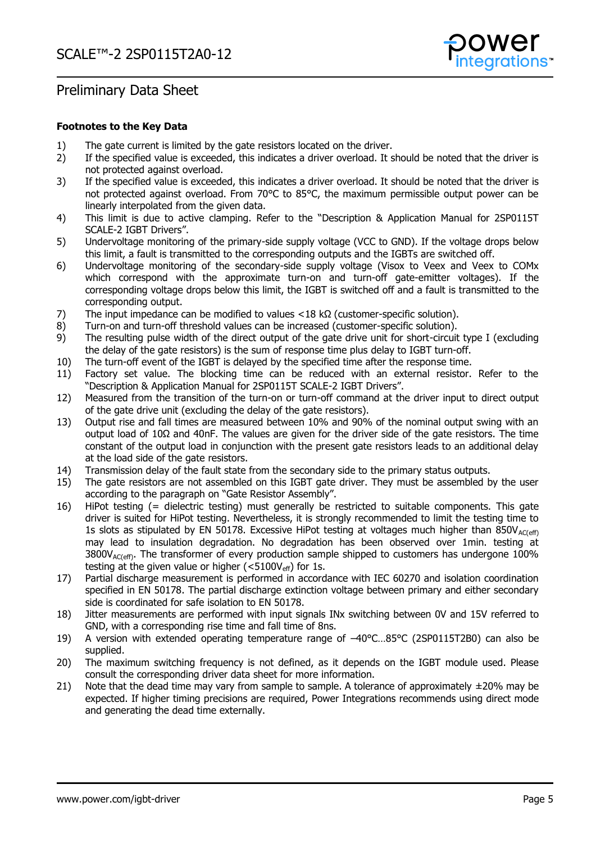

#### **Footnotes to the Key Data**

- 1) The gate current is limited by the gate resistors located on the driver.
- 2) If the specified value is exceeded, this indicates a driver overload. It should be noted that the driver is not protected against overload.
- 3) If the specified value is exceeded, this indicates a driver overload. It should be noted that the driver is not protected against overload. From 70°C to 85°C, the maximum permissible output power can be linearly interpolated from the given data.
- 4) This limit is due to active clamping. Refer to the "Description & Application Manual for 2SP0115T SCALE-2 IGBT Drivers".
- 5) Undervoltage monitoring of the primary-side supply voltage (VCC to GND). If the voltage drops below this limit, a fault is transmitted to the corresponding outputs and the IGBTs are switched off.
- 6) Undervoltage monitoring of the secondary-side supply voltage (Visox to Veex and Veex to COMx which correspond with the approximate turn-on and turn-off gate-emitter voltages). If the corresponding voltage drops below this limit, the IGBT is switched off and a fault is transmitted to the corresponding output.
- 7) The input impedance can be modified to values <18 kΩ (customer-specific solution).
- 8) Turn-on and turn-off threshold values can be increased (customer-specific solution).
- 9) The resulting pulse width of the direct output of the gate drive unit for short-circuit type I (excluding the delay of the gate resistors) is the sum of response time plus delay to IGBT turn-off.
- 10) The turn-off event of the IGBT is delayed by the specified time after the response time.
- 11) Factory set value. The blocking time can be reduced with an external resistor. Refer to the "Description & Application Manual for 2SP0115T SCALE-2 IGBT Drivers".
- 12) Measured from the transition of the turn-on or turn-off command at the driver input to direct output of the gate drive unit (excluding the delay of the gate resistors).
- 13) Output rise and fall times are measured between 10% and 90% of the nominal output swing with an output load of 10Ω and 40nF. The values are given for the driver side of the gate resistors. The time constant of the output load in conjunction with the present gate resistors leads to an additional delay at the load side of the gate resistors.
- 14) Transmission delay of the fault state from the secondary side to the primary status outputs.
- 15) The gate resistors are not assembled on this IGBT gate driver. They must be assembled by the user according to the paragraph on "Gate Resistor Assembly".
- 16) HiPot testing (= dielectric testing) must generally be restricted to suitable components. This gate driver is suited for HiPot testing. Nevertheless, it is strongly recommended to limit the testing time to 1s slots as stipulated by EN 50178. Excessive HiPot testing at voltages much higher than  $850V_{AC(eff)}$ may lead to insulation degradation. No degradation has been observed over 1min. testing at  $3800V<sub>AC(eff)</sub>$ . The transformer of every production sample shipped to customers has undergone 100% testing at the given value or higher ( $\langle$ 5100V<sub>eff</sub>) for 1s.
- 17) Partial discharge measurement is performed in accordance with IEC 60270 and isolation coordination specified in EN 50178. The partial discharge extinction voltage between primary and either secondary side is coordinated for safe isolation to EN 50178.
- 18) Jitter measurements are performed with input signals INx switching between 0V and 15V referred to GND, with a corresponding rise time and fall time of 8ns.
- 19) A version with extended operating temperature range of –40°C…85°C (2SP0115T2B0) can also be supplied.
- 20) The maximum switching frequency is not defined, as it depends on the IGBT module used. Please consult the corresponding driver data sheet for more information.
- 21) Note that the dead time may vary from sample to sample. A tolerance of approximately  $\pm 20\%$  may be expected. If higher timing precisions are required, Power Integrations recommends using direct mode and generating the dead time externally.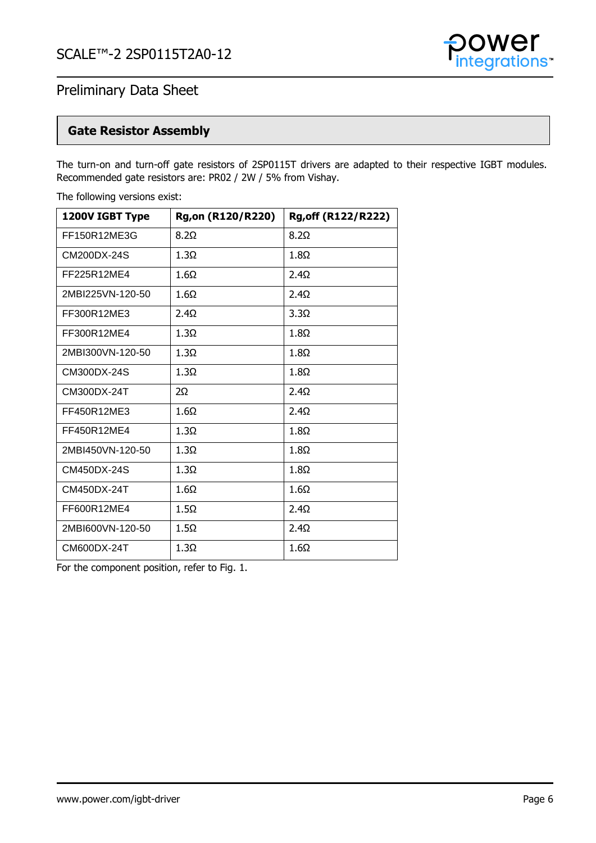

## **Gate Resistor Assembly**

The turn-on and turn-off gate resistors of 2SP0115T drivers are adapted to their respective IGBT modules. Recommended gate resistors are: PR02 / 2W / 5% from Vishay.

| 1200V IGBT Type  | <b>Rg,on (R120/R220)</b> | <b>Rg, off (R122/R222)</b> |
|------------------|--------------------------|----------------------------|
| FF150R12ME3G     | $8.2\Omega$              | $8.2\Omega$                |
| CM200DX-24S      | $1.3\Omega$              | $1.8\Omega$                |
| FF225R12ME4      | $1.6\Omega$              | $2.4\Omega$                |
| 2MBI225VN-120-50 | 1.6Ω                     | $2.4\Omega$                |
| FF300R12ME3      | $2.4\Omega$              | $3.3\Omega$                |
| FF300R12ME4      | $1.3\Omega$              | $1.8\Omega$                |
| 2MBI300VN-120-50 | $1.3\Omega$              | $1.8\Omega$                |
| CM300DX-24S      | $1.3\Omega$              | $1.8\Omega$                |
| CM300DX-24T      | 2Ω                       | $2.4\Omega$                |
| FF450R12ME3      | $1.6\Omega$              | $2.4\Omega$                |
| FF450R12ME4      | $1.3\Omega$              | $1.8\Omega$                |
| 2MBI450VN-120-50 | $1.3\Omega$              | $1.8\Omega$                |
| CM450DX-24S      | $1.3\Omega$              | $1.8\Omega$                |
| CM450DX-24T      | $1.6\Omega$              | $1.6\Omega$                |
| FF600R12ME4      | $1.5\Omega$              | $2.4\Omega$                |
| 2MBI600VN-120-50 | $1.5\Omega$              | $2.4\Omega$                |
| CM600DX-24T      | $1.3\Omega$              | $1.6\Omega$                |

The following versions exist:

For the component position, refer to Fig. 1.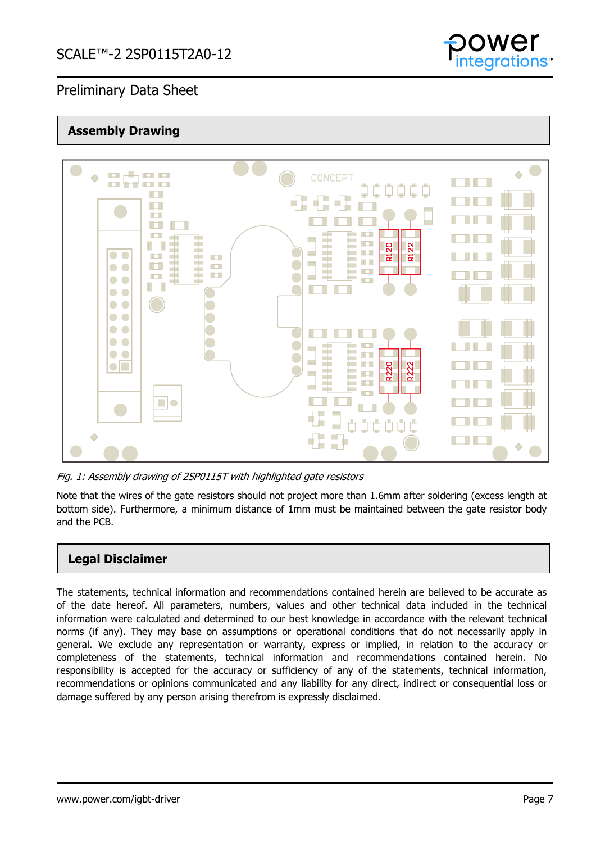

## **Assembly Drawing**



Fig. 1: Assembly drawing of 2SP0115T with highlighted gate resistors

Note that the wires of the gate resistors should not project more than 1.6mm after soldering (excess length at bottom side). Furthermore, a minimum distance of 1mm must be maintained between the gate resistor body and the PCB.

## **Legal Disclaimer**

The statements, technical information and recommendations contained herein are believed to be accurate as of the date hereof. All parameters, numbers, values and other technical data included in the technical information were calculated and determined to our best knowledge in accordance with the relevant technical norms (if any). They may base on assumptions or operational conditions that do not necessarily apply in general. We exclude any representation or warranty, express or implied, in relation to the accuracy or completeness of the statements, technical information and recommendations contained herein. No responsibility is accepted for the accuracy or sufficiency of any of the statements, technical information, recommendations or opinions communicated and any liability for any direct, indirect or consequential loss or damage suffered by any person arising therefrom is expressly disclaimed.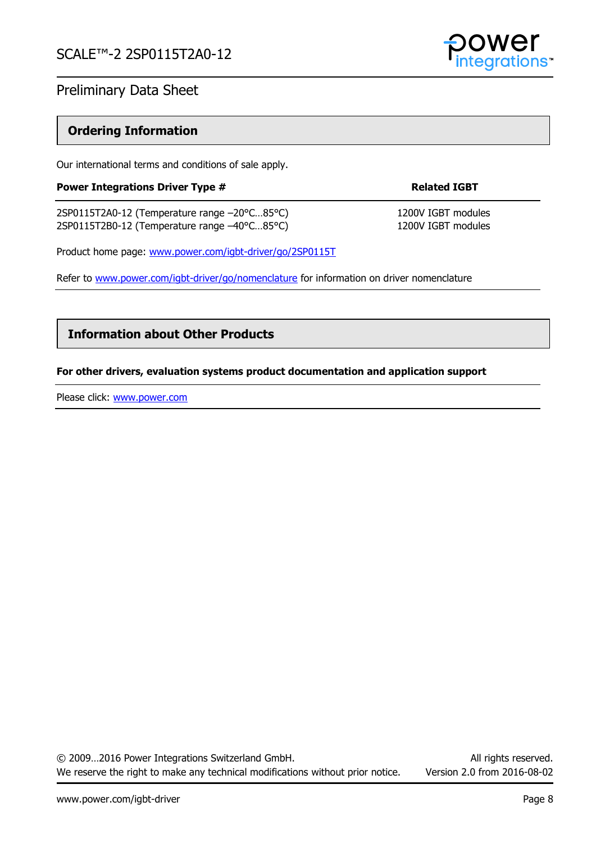

## **Ordering Information**

Our international terms and conditions of sale apply.

### **Power Integrations Driver Type # 8 A CONCRETE RELATIONS RELATIONS RELATIONS RELATIONS RELATIONS RELATIONS RELATIONS RELATIONS RELATIONS RELATIONS RELATIONS RELATIONS RELATIONS RELATIONS RELATIONS RELATIONS RELATIONS RELAT**

2SP0115T2A0-12 (Temperature range -20°C...85°C) 1200V IGBT modules 2SP0115T2B0-12 (Temperature range -40°C...85°C) 1200V IGBT modules

Product home page: [www.power.com/igbt-driver/go/2SP0115T](http://www.power.com/igbt-driver/go/2SP0115T)

Refer to [www.power.com/igbt-driver/go/nomenclature](http://www.power.com/igbt-driver/go/nomenclature) for information on driver nomenclature

## **Information about Other Products**

### **For other drivers, evaluation systems product documentation and application support**

Please click: [www.power.com](http://www.power.com/)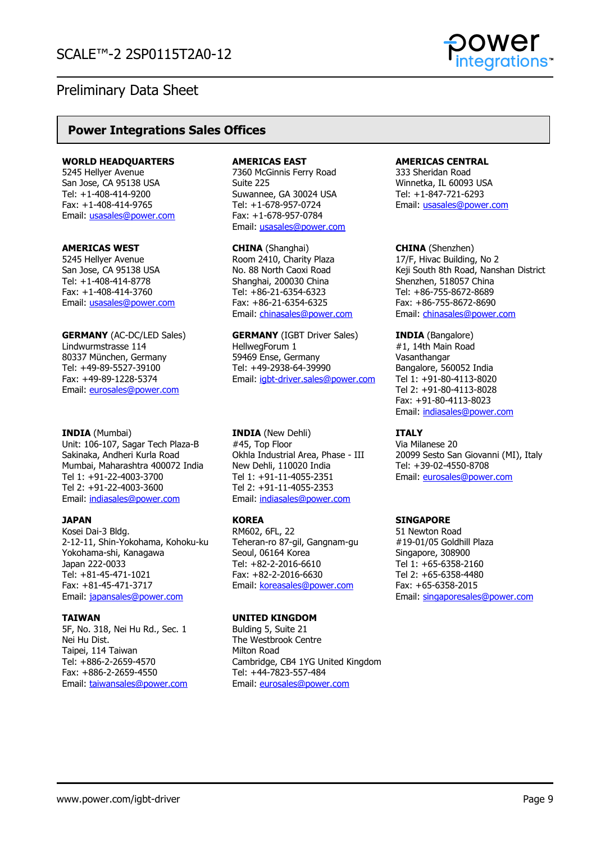

## **Power Integrations Sales Offices**

#### **WORLD HEADQUARTERS**

5245 Hellyer Avenue San Jose, CA 95138 USA Tel: +1-408-414-9200 Fax: +1-408-414-9765 Email: [usasales@power.com](mailto:usasales@power.com)

#### **AMERICAS WEST**

5245 Hellyer Avenue San Jose, CA 95138 USA Tel: +1-408-414-8778 Fax: +1-408-414-3760 Email: [usasales@power.com](mailto:usasales@power.com)

**GERMANY** (AC-DC/LED Sales) Lindwurmstrasse 114 80337 München, Germany Tel: +49-89-5527-39100 Fax: +49-89-1228-5374 Email: [eurosales@power.com](mailto:eurosales@power.com)

#### **INDIA** (Mumbai)

Unit: 106-107, Sagar Tech Plaza-B Sakinaka, Andheri Kurla Road Mumbai, Maharashtra 400072 India Tel 1: +91-22-4003-3700 Tel 2: +91-22-4003-3600 Email: [indiasales@power.com](mailto:indiasales@power.com)

#### **JAPAN**

Kosei Dai-3 Bldg. 2-12-11, Shin-Yokohama, Kohoku-ku Yokohama-shi, Kanagawa Japan 222-0033 Tel: +81-45-471-1021 Fax: +81-45-471-3717 Email: [japansales@power.com](mailto:japansales@power.com)

#### **TAIWAN**

5F, No. 318, Nei Hu Rd., Sec. 1 Nei Hu Dist. Taipei, 114 Taiwan Tel: +886-2-2659-4570 Fax: +886-2-2659-4550 Email: [taiwansales@power.com](mailto:taiwansales@power.com)

#### **AMERICAS EAST**

7360 McGinnis Ferry Road Suite 225 Suwannee, GA 30024 USA Tel: +1-678-957-0724 Fax: +1-678-957-0784 Email: [usasales@power.com](mailto:usasales@power.com)

**CHINA** (Shanghai) Room 2410, Charity Plaza No. 88 North Caoxi Road Shanghai, 200030 China Tel: +86-21-6354-6323 Fax: +86-21-6354-6325 Email: [chinasales@power.com](mailto:chinasales@power.com)

**GERMANY** (IGBT Driver Sales) HellwegForum 1 59469 Ense, Germany Tel: +49-2938-64-39990 Email: [igbt-driver.sales@power.com](mailto:igbt-driver.sales@power.com)

**INDIA** (New Dehli) #45, Top Floor Okhla Industrial Area, Phase - III New Dehli, 110020 India Tel 1: +91-11-4055-2351 Tel 2: +91-11-4055-2353 Email: [indiasales@power.com](mailto:indiasales@power.com)

#### **KOREA**

RM602, 6FL, 22 Teheran-ro 87-gil, Gangnam-gu Seoul, 06164 Korea Tel: +82-2-2016-6610 Fax: +82-2-2016-6630 Email: [koreasales@power.com](mailto:koreasales@power.com)

#### **UNITED KINGDOM**

Bulding 5, Suite 21 The Westbrook Centre Milton Road Cambridge, CB4 1YG United Kingdom Tel: +44-7823-557-484 Email: [eurosales@power.com](mailto:eurosales@power.com)

#### **AMERICAS CENTRAL**

333 Sheridan Road Winnetka, IL 60093 USA Tel: +1-847-721-6293 Email: [usasales@power.com](mailto:usasales@power.com)

**CHINA** (Shenzhen) 17/F, Hivac Building, No 2 Keji South 8th Road, Nanshan District Shenzhen, 518057 China Tel: +86-755-8672-8689 Fax: +86-755-8672-8690 Email: [chinasales@power.com](mailto:chinasales@power.com)

**INDIA** (Bangalore) #1, 14th Main Road Vasanthangar Bangalore, 560052 India Tel 1: +91-80-4113-8020 Tel 2: +91-80-4113-8028 Fax: +91-80-4113-8023 Email: [indiasales@power.com](mailto:indiasales@power.com)

#### **ITALY**

Via Milanese 20 20099 Sesto San Giovanni (MI), Italy Tel: +39-02-4550-8708 Email: [eurosales@power.com](mailto:eurosales@power.com)

#### **SINGAPORE**

51 Newton Road #19-01/05 Goldhill Plaza Singapore, 308900 Tel 1: +65-6358-2160 Tel 2: +65-6358-4480 Fax: +65-6358-2015 Email: [singaporesales@power.com](mailto:singaporesales@power.com)